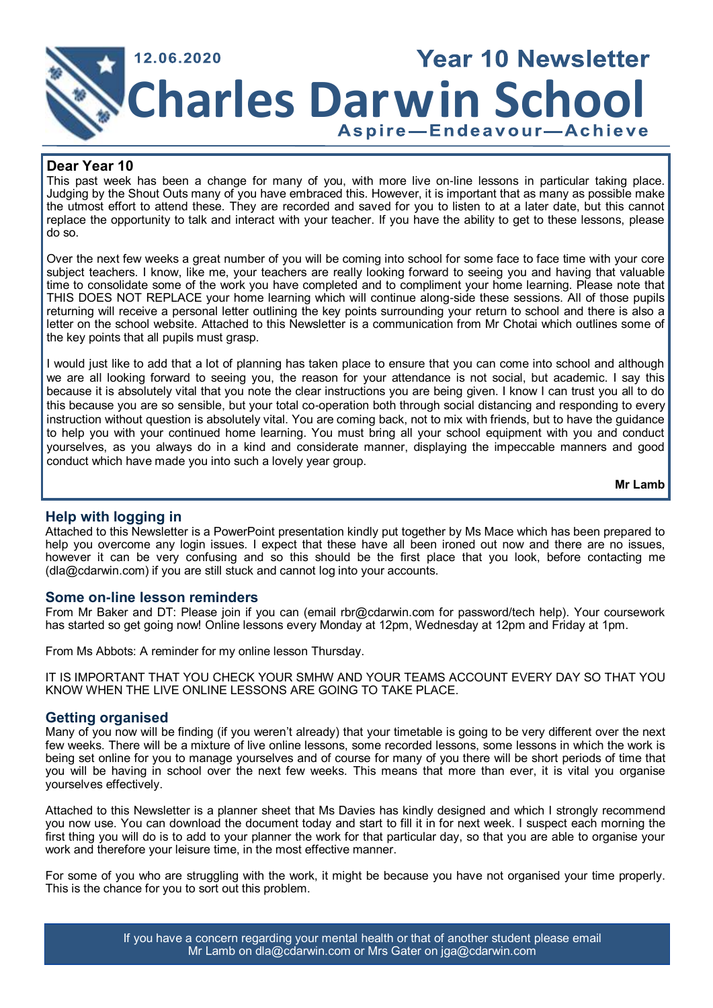

### **Dear Year 10**

This past week has been a change for many of you, with more live on-line lessons in particular taking place. Judging by the Shout Outs many of you have embraced this. However, it is important that as many as possible make the utmost effort to attend these. They are recorded and saved for you to listen to at a later date, but this cannot replace the opportunity to talk and interact with your teacher. If you have the ability to get to these lessons, please do so.

Over the next few weeks a great number of you will be coming into school for some face to face time with your core subject teachers. I know, like me, your teachers are really looking forward to seeing you and having that valuable time to consolidate some of the work you have completed and to compliment your home learning. Please note that THIS DOES NOT REPLACE your home learning which will continue along-side these sessions. All of those pupils returning will receive a personal letter outlining the key points surrounding your return to school and there is also a letter on the school website. Attached to this Newsletter is a communication from Mr Chotai which outlines some of the key points that all pupils must grasp.

I would just like to add that a lot of planning has taken place to ensure that you can come into school and although we are all looking forward to seeing you, the reason for your attendance is not social, but academic. I say this because it is absolutely vital that you note the clear instructions you are being given. I know I can trust you all to do this because you are so sensible, but your total co-operation both through social distancing and responding to every instruction without question is absolutely vital. You are coming back, not to mix with friends, but to have the guidance to help you with your continued home learning. You must bring all your school equipment with you and conduct yourselves, as you always do in a kind and considerate manner, displaying the impeccable manners and good conduct which have made you into such a lovely year group.

**Mr Lamb**

# **Help with logging in**

Attached to this Newsletter is a PowerPoint presentation kindly put together by Ms Mace which has been prepared to help you overcome any login issues. I expect that these have all been ironed out now and there are no issues, however it can be very confusing and so this should be the first place that you look, before contacting me (dla@cdarwin.com) if you are still stuck and cannot log into your accounts.

# **Some on-line lesson reminders**

From Mr Baker and DT: Please join if you can (email rbr@cdarwin.com for password/tech help). Your coursework has started so get going now! Online lessons every Monday at 12pm, Wednesday at 12pm and Friday at 1pm.

From Ms Abbots: A reminder for my online lesson Thursday.

IT IS IMPORTANT THAT YOU CHECK YOUR SMHW AND YOUR TEAMS ACCOUNT EVERY DAY SO THAT YOU KNOW WHEN THE LIVE ONLINE LESSONS ARE GOING TO TAKE PLACE.

# **Getting organised**

Many of you now will be finding (if you weren't already) that your timetable is going to be very different over the next few weeks. There will be a mixture of live online lessons, some recorded lessons, some lessons in which the work is being set online for you to manage yourselves and of course for many of you there will be short periods of time that you will be having in school over the next few weeks. This means that more than ever, it is vital you organise yourselves effectively.

Attached to this Newsletter is a planner sheet that Ms Davies has kindly designed and which I strongly recommend you now use. You can download the document today and start to fill it in for next week. I suspect each morning the first thing you will do is to add to your planner the work for that particular day, so that you are able to organise your work and therefore your leisure time, in the most effective manner.

For some of you who are struggling with the work, it might be because you have not organised your time properly. This is the chance for you to sort out this problem.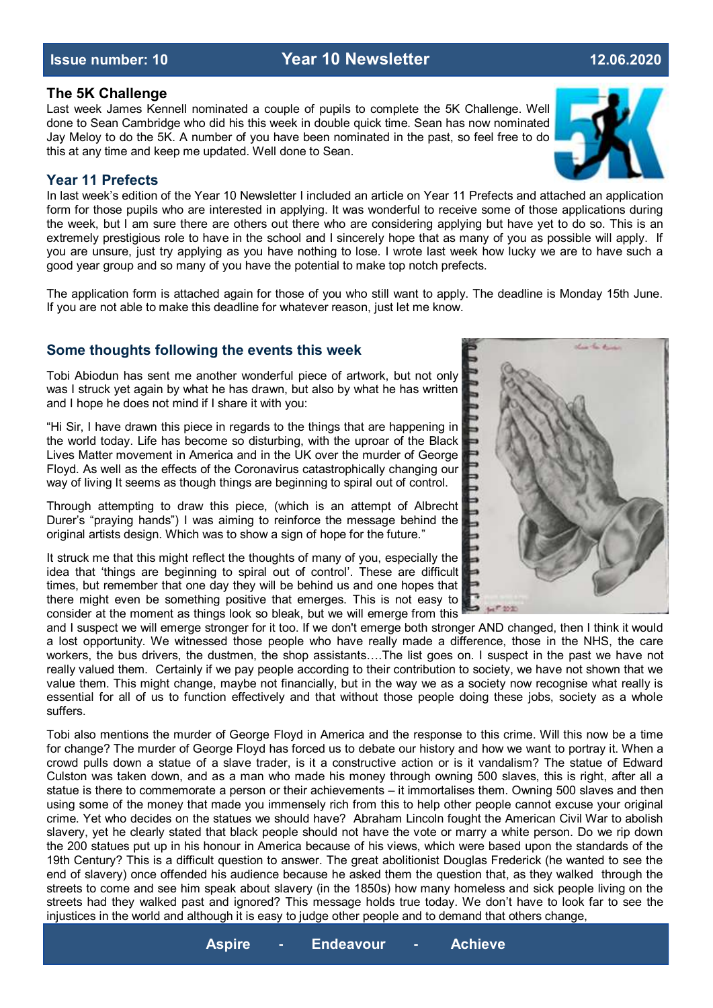### **The 5K Challenge**

Last week James Kennell nominated a couple of pupils to complete the 5K Challenge. Well done to Sean Cambridge who did his this week in double quick time. Sean has now nominated Jay Meloy to do the 5K. A number of you have been nominated in the past, so feel free to do this at any time and keep me updated. Well done to Sean.

# **Year 11 Prefects**

In last week's edition of the Year 10 Newsletter I included an article on Year 11 Prefects and attached an application form for those pupils who are interested in applying. It was wonderful to receive some of those applications during the week, but I am sure there are others out there who are considering applying but have yet to do so. This is an extremely prestigious role to have in the school and I sincerely hope that as many of you as possible will apply. If you are unsure, just try applying as you have nothing to lose. I wrote last week how lucky we are to have such a good year group and so many of you have the potential to make top notch prefects.

The application form is attached again for those of you who still want to apply. The deadline is Monday 15th June. If you are not able to make this deadline for whatever reason, just let me know.

# **Some thoughts following the events this week**

Tobi Abiodun has sent me another wonderful piece of artwork, but not only was I struck yet again by what he has drawn, but also by what he has written and I hope he does not mind if I share it with you:

"Hi Sir, I have drawn this piece in regards to the things that are happening in the world today. Life has become so disturbing, with the uproar of the Black Lives Matter movement in America and in the UK over the murder of George Floyd. As well as the effects of the Coronavirus catastrophically changing our way of living It seems as though things are beginning to spiral out of control.

Through attempting to draw this piece, (which is an attempt of Albrecht Durer's "praying hands") I was aiming to reinforce the message behind the original artists design. Which was to show a sign of hope for the future."

It struck me that this might reflect the thoughts of many of you, especially the idea that 'things are beginning to spiral out of control'. These are difficult times, but remember that one day they will be behind us and one hopes that there might even be something positive that emerges. This is not easy to consider at the moment as things look so bleak, but we will emerge from this

and I suspect we will emerge stronger for it too. If we don't emerge both stronger AND changed, then I think it would a lost opportunity. We witnessed those people who have really made a difference, those in the NHS, the care workers, the bus drivers, the dustmen, the shop assistants….The list goes on. I suspect in the past we have not really valued them. Certainly if we pay people according to their contribution to society, we have not shown that we value them. This might change, maybe not financially, but in the way we as a society now recognise what really is essential for all of us to function effectively and that without those people doing these jobs, society as a whole suffers.

Tobi also mentions the murder of George Floyd in America and the response to this crime. Will this now be a time for change? The murder of George Floyd has forced us to debate our history and how we want to portray it. When a crowd pulls down a statue of a slave trader, is it a constructive action or is it vandalism? The statue of Edward Culston was taken down, and as a man who made his money through owning 500 slaves, this is right, after all a statue is there to commemorate a person or their achievements – it immortalises them. Owning 500 slaves and then using some of the money that made you immensely rich from this to help other people cannot excuse your original crime. Yet who decides on the statues we should have? Abraham Lincoln fought the American Civil War to abolish slavery, yet he clearly stated that black people should not have the vote or marry a white person. Do we rip down the 200 statues put up in his honour in America because of his views, which were based upon the standards of the 19th Century? This is a difficult question to answer. The great abolitionist Douglas Frederick (he wanted to see the end of slavery) once offended his audience because he asked them the question that, as they walked through the streets to come and see him speak about slavery (in the 1850s) how many homeless and sick people living on the streets had they walked past and ignored? This message holds true today. We don't have to look far to see the injustices in the world and although it is easy to judge other people and to demand that others change,



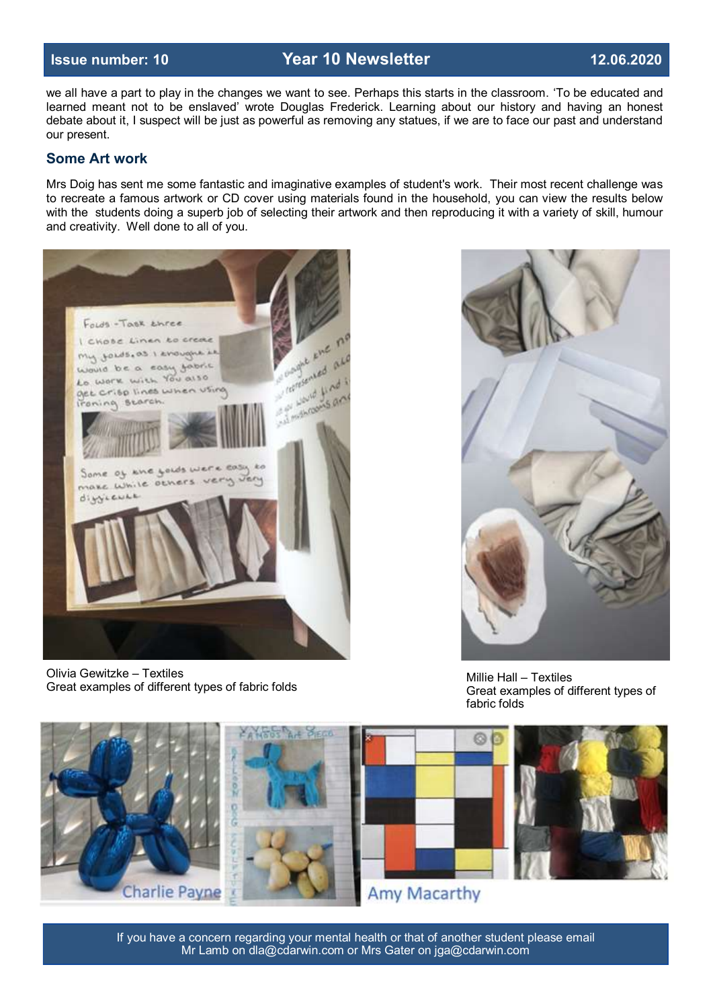we all have a part to play in the changes we want to see. Perhaps this starts in the classroom. 'To be educated and learned meant not to be enslaved' wrote Douglas Frederick. Learning about our history and having an honest debate about it, I suspect will be just as powerful as removing any statues, if we are to face our past and understand our present.

# **Some Art work**

Mrs Doig has sent me some fantastic and imaginative examples of student's work. Their most recent challenge was to recreate a famous artwork or CD cover using materials found in the household, you can view the results below with the students doing a superb job of selecting their artwork and then reproducing it with a variety of skill, humour and creativity. Well done to all of you.



Olivia Gewitzke – Textiles Great examples of different types of fabric folds



Millie Hall – Textiles Great examples of different types of fabric folds



If you have a concern regarding your mental health or that of another student please email Mr Lamb on dla@cdarwin.com or Mrs Gater on jga@cdarwin.com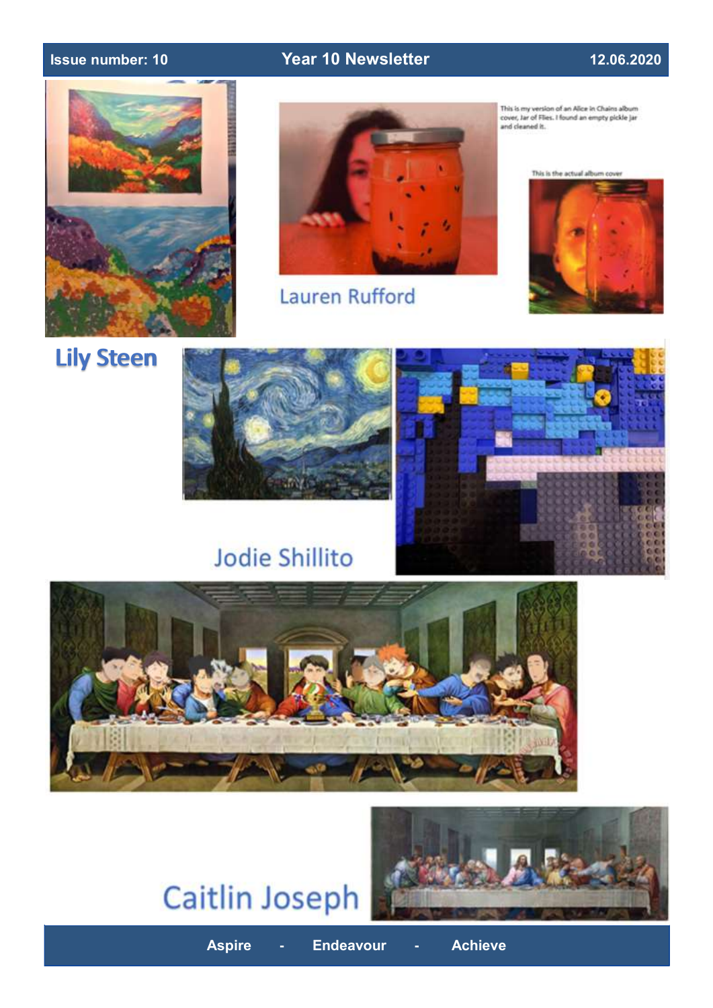



Lauren Rufford

This is my version of an Alice in Chains album<br>cover, Jar of Flies. I found an empty pickle jar<br>and cleaned it.

This is the actual album cov



Lily Steen



# **Jodie Shillito**



**Aspire - Endeavour - Achieve**

# **Caitlin Joseph**

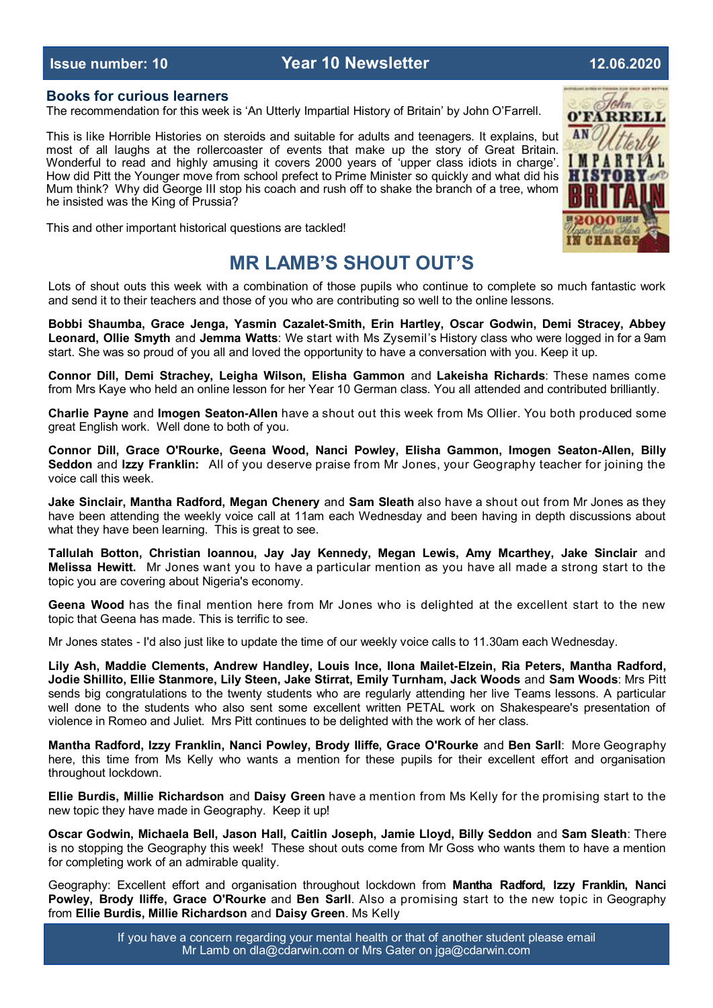### **Books for curious learners**

The recommendation for this week is 'An Utterly Impartial History of Britain' by John O'Farrell.

This is like Horrible Histories on steroids and suitable for adults and teenagers. It explains, but most of all laughs at the rollercoaster of events that make up the story of Great Britain. Wonderful to read and highly amusing it covers 2000 years of 'upper class idiots in charge'. How did Pitt the Younger move from school prefect to Prime Minister so quickly and what did his Mum think? Why did George III stop his coach and rush off to shake the branch of a tree, whom he insisted was the King of Prussia?



This and other important historical questions are tackled!

# **MR LAMB'S SHOUT OUT'S**

Lots of shout outs this week with a combination of those pupils who continue to complete so much fantastic work and send it to their teachers and those of you who are contributing so well to the online lessons.

**Bobbi Shaumba, Grace Jenga, Yasmin Cazalet-Smith, Erin Hartley, Oscar Godwin, Demi Stracey, Abbey Leonard, Ollie Smyth** and **Jemma Watts**: We start with Ms Zysemil's History class who were logged in for a 9am start. She was so proud of you all and loved the opportunity to have a conversation with you. Keep it up.

**Connor Dill, Demi Strachey, Leigha Wilson, Elisha Gammon** and **Lakeisha Richards**: These names come from Mrs Kaye who held an online lesson for her Year 10 German class. You all attended and contributed brilliantly.

**Charlie Payne** and **Imogen Seaton-Allen** have a shout out this week from Ms Ollier. You both produced some great English work. Well done to both of you.

**Connor Dill, Grace O'Rourke, Geena Wood, Nanci Powley, Elisha Gammon, Imogen Seaton-Allen, Billy Seddon** and **Izzy Franklin:** All of you deserve praise from Mr Jones, your Geography teacher for joining the voice call this week.

**Jake Sinclair, Mantha Radford, Megan Chenery** and **Sam Sleath** also have a shout out from Mr Jones as they have been attending the weekly voice call at 11am each Wednesday and been having in depth discussions about what they have been learning. This is great to see.

**Tallulah Botton, Christian Ioannou, Jay Jay Kennedy, Megan Lewis, Amy Mcarthey, Jake Sinclair** and **Melissa Hewitt.** Mr Jones want you to have a particular mention as you have all made a strong start to the topic you are covering about Nigeria's economy.

**Geena Wood** has the final mention here from Mr Jones who is delighted at the excellent start to the new topic that Geena has made. This is terrific to see.

Mr Jones states - I'd also just like to update the time of our weekly voice calls to 11.30am each Wednesday.

**Lily Ash, Maddie Clements, Andrew Handley, Louis Ince, Ilona Mailet-Elzein, Ria Peters, Mantha Radford, Jodie Shillito, Ellie Stanmore, Lily Steen, Jake Stirrat, Emily Turnham, Jack Woods** and **Sam Woods**: Mrs Pitt sends big congratulations to the twenty students who are regularly attending her live Teams lessons. A particular well done to the students who also sent some excellent written PETAL work on Shakespeare's presentation of violence in Romeo and Juliet. Mrs Pitt continues to be delighted with the work of her class.

**Mantha Radford, Izzy Franklin, Nanci Powley, Brody Iliffe, Grace O'Rourke** and **Ben Sarll**: More Geography here, this time from Ms Kelly who wants a mention for these pupils for their excellent effort and organisation throughout lockdown.

**Ellie Burdis, Millie Richardson** and **Daisy Green** have a mention from Ms Kelly for the promising start to the new topic they have made in Geography. Keep it up!

**Oscar Godwin, Michaela Bell, Jason Hall, Caitlin Joseph, Jamie Lloyd, Billy Seddon** and **Sam Sleath**: There is no stopping the Geography this week! These shout outs come from Mr Goss who wants them to have a mention for completing work of an admirable quality.

Geography: Excellent effort and organisation throughout lockdown from **Mantha Radford, Izzy Franklin, Nanci Powley, Brody Iliffe, Grace O'Rourke** and **Ben Sarll**. Also a promising start to the new topic in Geography from **Ellie Burdis, Millie Richardson** and **Daisy Green**. Ms Kelly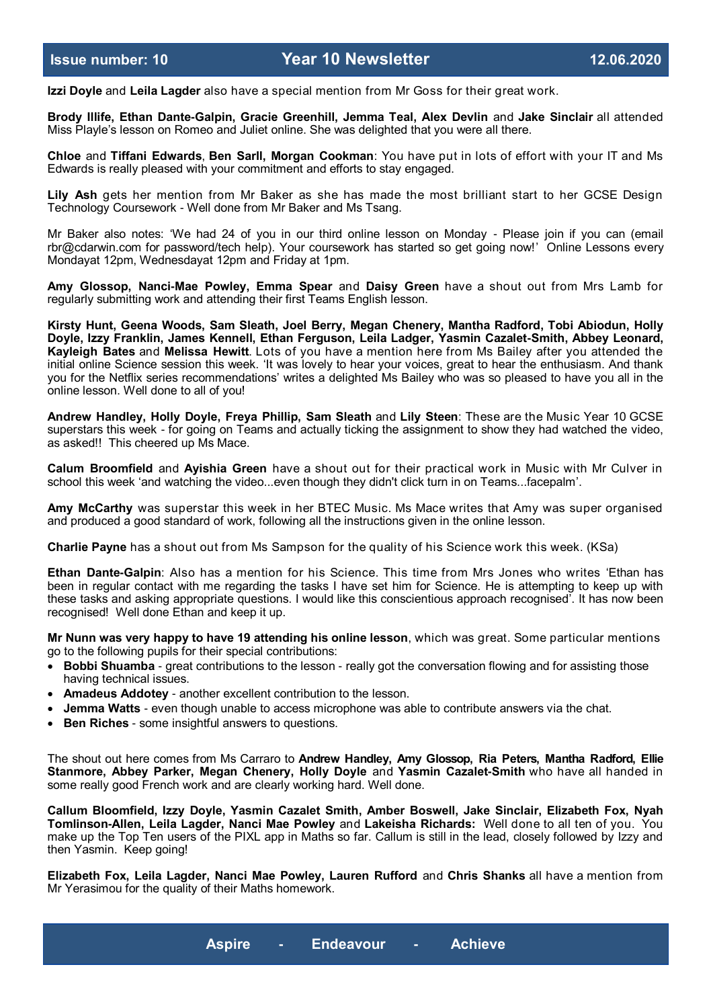**Izzi Doyle** and **Leila Lagder** also have a special mention from Mr Goss for their great work.

**Brody Illife, Ethan Dante-Galpin, Gracie Greenhill, Jemma Teal, Alex Devlin** and **Jake Sinclair** all attended Miss Playle's lesson on Romeo and Juliet online. She was delighted that you were all there.

**Chloe** and **Tiffani Edwards**, **Ben Sarll, Morgan Cookman**: You have put in lots of effort with your IT and Ms Edwards is really pleased with your commitment and efforts to stay engaged.

**Lily Ash** gets her mention from Mr Baker as she has made the most brilliant start to her GCSE Design Technology Coursework - Well done from Mr Baker and Ms Tsang.

Mr Baker also notes: 'We had 24 of you in our third online lesson on Monday - Please join if you can (email rbr@cdarwin.com for password/tech help). Your coursework has started so get going now!' Online Lessons every Mondayat 12pm, Wednesdayat 12pm and Friday at 1pm.

**Amy Glossop, Nanci-Mae Powley, Emma Spear** and **Daisy Green** have a shout out from Mrs Lamb for regularly submitting work and attending their first Teams English lesson.

**Kirsty Hunt, Geena Woods, Sam Sleath, Joel Berry, Megan Chenery, Mantha Radford, Tobi Abiodun, Holly Doyle, Izzy Franklin, James Kennell, Ethan Ferguson, Leila Ladger, Yasmin Cazalet-Smith, Abbey Leonard, Kayleigh Bates** and **Melissa Hewitt**. Lots of you have a mention here from Ms Bailey after you attended the initial online Science session this week. 'It was lovely to hear your voices, great to hear the enthusiasm. And thank you for the Netflix series recommendations' writes a delighted Ms Bailey who was so pleased to have you all in the online lesson. Well done to all of you!

**Andrew Handley, Holly Doyle, Freya Phillip, Sam Sleath** and **Lily Steen**: These are the Music Year 10 GCSE superstars this week - for going on Teams and actually ticking the assignment to show they had watched the video, as asked!! This cheered up Ms Mace.

**Calum Broomfield** and **Ayishia Green** have a shout out for their practical work in Music with Mr Culver in school this week 'and watching the video...even though they didn't click turn in on Teams...facepalm'.

**Amy McCarthy** was superstar this week in her BTEC Music. Ms Mace writes that Amy was super organised and produced a good standard of work, following all the instructions given in the online lesson.

**Charlie Payne** has a shout out from Ms Sampson for the quality of his Science work this week. (KSa)

**Ethan Dante-Galpin**: Also has a mention for his Science. This time from Mrs Jones who writes 'Ethan has been in regular contact with me regarding the tasks I have set him for Science. He is attempting to keep up with these tasks and asking appropriate questions. I would like this conscientious approach recognised'. It has now been recognised! Well done Ethan and keep it up.

**Mr Nunn was very happy to have 19 attending his online lesson**, which was great. Some particular mentions go to the following pupils for their special contributions:

- **Bobbi Shuamba** great contributions to the lesson really got the conversation flowing and for assisting those having technical issues.
- **Amadeus Addotey** another excellent contribution to the lesson.
- **Jemma Watts** even though unable to access microphone was able to contribute answers via the chat.
- **Ben Riches** some insightful answers to questions.

The shout out here comes from Ms Carraro to **Andrew Handley, Amy Glossop, Ria Peters, Mantha Radford, Ellie Stanmore, Abbey Parker, Megan Chenery, Holly Doyle** and **Yasmin Cazalet-Smith** who have all handed in some really good French work and are clearly working hard. Well done.

**Callum Bloomfield, Izzy Doyle, Yasmin Cazalet Smith, Amber Boswell, Jake Sinclair, Elizabeth Fox, Nyah Tomlinson-Allen, Leila Lagder, Nanci Mae Powley** and **Lakeisha Richards:** Well done to all ten of you. You make up the Top Ten users of the PIXL app in Maths so far. Callum is still in the lead, closely followed by Izzy and then Yasmin. Keep going!

**Elizabeth Fox, Leila Lagder, Nanci Mae Powley, Lauren Rufford** and **Chris Shanks** all have a mention from Mr Yerasimou for the quality of their Maths homework.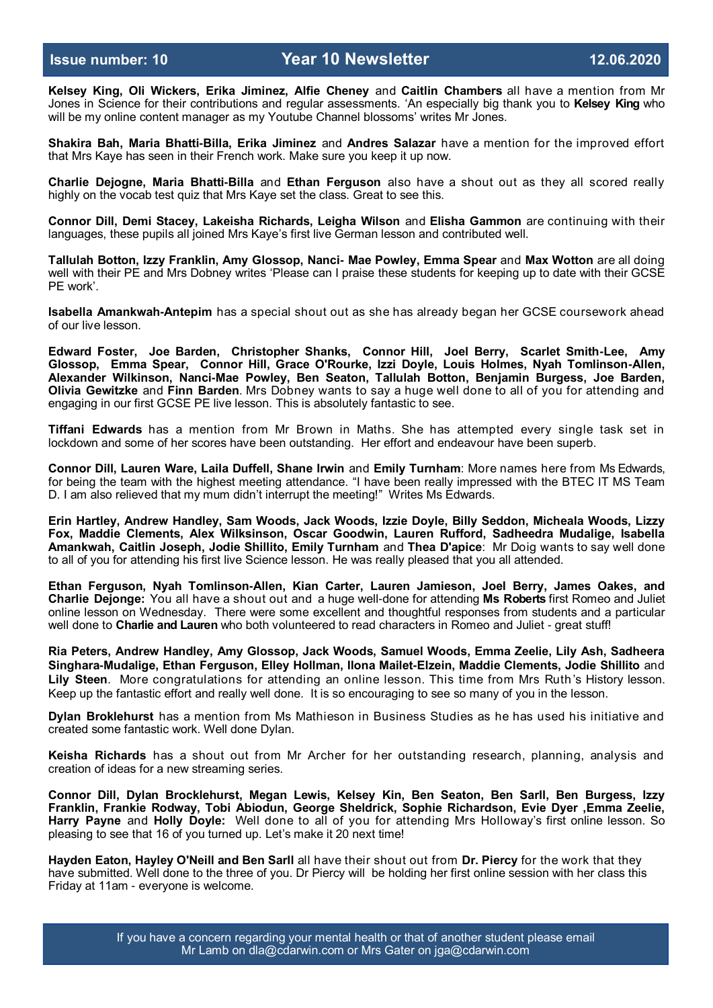**Kelsey King, Oli Wickers, Erika Jiminez, Alfie Cheney** and **Caitlin Chambers** all have a mention from Mr Jones in Science for their contributions and regular assessments. 'An especially big thank you to **Kelsey King** who will be my online content manager as my Youtube Channel blossoms' writes Mr Jones.

**Shakira Bah, Maria Bhatti-Billa, Erika Jiminez** and **Andres Salazar** have a mention for the improved effort that Mrs Kaye has seen in their French work. Make sure you keep it up now.

**Charlie Dejogne, Maria Bhatti-Billa** and **Ethan Ferguson** also have a shout out as they all scored really highly on the vocab test quiz that Mrs Kaye set the class. Great to see this.

**Connor Dill, Demi Stacey, Lakeisha Richards, Leigha Wilson** and **Elisha Gammon** are continuing with their languages, these pupils all joined Mrs Kaye's first live German lesson and contributed well.

**Tallulah Botton, Izzy Franklin, Amy Glossop, Nanci- Mae Powley, Emma Spear** and **Max Wotton** are all doing well with their PE and Mrs Dobney writes 'Please can I praise these students for keeping up to date with their GCSE PE work'.

**Isabella Amankwah-Antepim** has a special shout out as she has already began her GCSE coursework ahead of our live lesson.

**Edward Foster, Joe Barden, Christopher Shanks, Connor Hill, Joel Berry, Scarlet Smith-Lee, Amy Glossop, Emma Spear, Connor Hill, Grace O'Rourke, Izzi Doyle, Louis Holmes, Nyah Tomlinson-Allen, Alexander Wilkinson, Nanci-Mae Powley, Ben Seaton, Tallulah Botton, Benjamin Burgess, Joe Barden, Olivia Gewitzke** and **Finn Barden**. Mrs Dobney wants to say a huge well done to all of you for attending and engaging in our first GCSE PE live lesson. This is absolutely fantastic to see.

**Tiffani Edwards** has a mention from Mr Brown in Maths. She has attempted every single task set in lockdown and some of her scores have been outstanding. Her effort and endeavour have been superb.

**Connor Dill, Lauren Ware, Laila Duffell, Shane Irwin** and **Emily Turnham**: More names here from Ms Edwards, for being the team with the highest meeting attendance. "I have been really impressed with the BTEC IT MS Team D. I am also relieved that my mum didn't interrupt the meeting!" Writes Ms Edwards.

**Erin Hartley, Andrew Handley, Sam Woods, Jack Woods, Izzie Doyle, Billy Seddon, Micheala Woods, Lizzy Fox, Maddie Clements, Alex Wilksinson, Oscar Goodwin, Lauren Rufford, Sadheedra Mudalige, Isabella Amankwah, Caitlin Joseph, Jodie Shillito, Emily Turnham** and **Thea D'apice**: Mr Doig wants to say well done to all of you for attending his first live Science lesson. He was really pleased that you all attended.

**Ethan Ferguson, Nyah Tomlinson-Allen, Kian Carter, Lauren Jamieson, Joel Berry, James Oakes, and Charlie Dejonge:** You all have a shout out and a huge well-done for attending **Ms Roberts** first Romeo and Juliet online lesson on Wednesday. There were some excellent and thoughtful responses from students and a particular well done to **Charlie and Lauren** who both volunteered to read characters in Romeo and Juliet - great stuff!

**Ria Peters, Andrew Handley, Amy Glossop, Jack Woods, Samuel Woods, Emma Zeelie, Lily Ash, Sadheera Singhara-Mudalige, Ethan Ferguson, Elley Hollman, Ilona Mailet-Elzein, Maddie Clements, Jodie Shillito** and **Lily Steen**. More congratulations for attending an online lesson. This time from Mrs Ruth 's History lesson. Keep up the fantastic effort and really well done. It is so encouraging to see so many of you in the lesson.

**Dylan Broklehurst** has a mention from Ms Mathieson in Business Studies as he has used his initiative and created some fantastic work. Well done Dylan.

**Keisha Richards** has a shout out from Mr Archer for her outstanding research, planning, analysis and creation of ideas for a new streaming series.

**Connor Dill, Dylan Brocklehurst, Megan Lewis, Kelsey Kin, Ben Seaton, Ben Sarll, Ben Burgess, Izzy Franklin, Frankie Rodway, Tobi Abiodun, George Sheldrick, Sophie Richardson, Evie Dyer ,Emma Zeelie, Harry Payne** and **Holly Doyle:** Well done to all of you for attending Mrs Holloway's first online lesson. So pleasing to see that 16 of you turned up. Let's make it 20 next time!

**Hayden Eaton, Hayley O'Neill and Ben Sarll** all have their shout out from **Dr. Piercy** for the work that they have submitted. Well done to the three of you. Dr Piercy will be holding her first online session with her class this Friday at 11am - everyone is welcome.